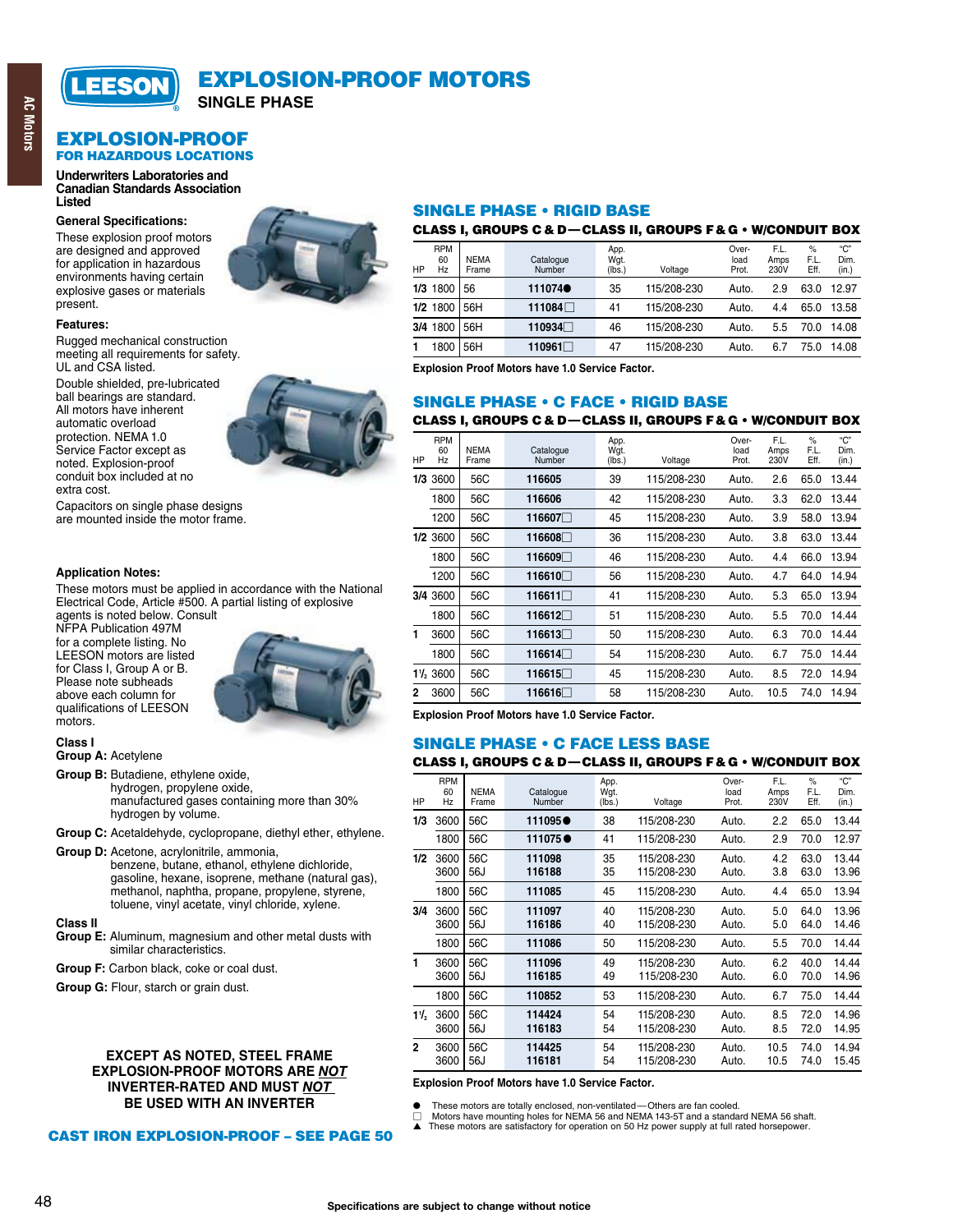

## **EXPLOSION-PROOF MOTORS**

**SINGLE PHASE** 

#### **EXPLOSION-PROOF FOR HAZARDOUS LOCATIONS**

#### **Underwriters Laboratories and Canadian Standards Association Listed**

#### **General Specifications:**

These explosion proof motors are designed and approved for application in hazardous environments having certain explosive gases or materials present.



#### Features:

Rugged mechanical construction meeting all requirements for safety. UL and CSA listed.

Double shielded, pre-lubricated ball bearings are standard. All motors have inherent automatic overload protection. NEMA 1.0 Service Factor except as noted. Explosion-proof conduit box included at no extra cost.



Capacitors on single phase designs are mounted inside the motor frame.

#### **Application Notes:**

These motors must be applied in accordance with the National Electrical Code, Article #500. A partial listing of explosive

agents is noted below. Consult NFPA Publication 497M for a complete listing. No **LEESON** motors are listed for Class I, Group A or B. Please note subheads above each column for qualifications of LEESON motors.



## Class I

**Group A: Acetylene** 

Group B: Butadiene, ethylene oxide, hydrogen, propylene oxide, manufactured gases containing more than 30% hydrogen by volume.

- Group C: Acetaldehyde, cyclopropane, diethyl ether, ethylene.
- Group D: Acetone, acrylonitrile, ammonia, benzene, butane, ethanol, ethylene dichloride, gasoline, hexane, isoprene, methane (natural gas), methanol, naphtha, propane, propylene, styrene, toluene, vinyl acetate, vinyl chloride, xylene.

#### **Class II**

- Group E: Aluminum, magnesium and other metal dusts with similar characteristics.
- Group F: Carbon black, coke or coal dust.
- Group G: Flour, starch or grain dust.

#### **EXCEPT AS NOTED. STEEL FRAME EXPLOSION-PROOF MOTORS ARE NOT INVERTER-RATED AND MUST NOT** BE USED WITH AN INVERTER

**CAST IRON EXPLOSION-PROOF - SEE PAGE 50** 

#### **SINGLE PHASE . RIGID BASE**

#### CLASS I, GROUPS C & D-CLASS II, GROUPS F & G . W/CONDUIT BOX

| HP  | <b>RPM</b><br>60<br>Hz | <b>NEMA</b><br>Frame | Catalogue<br>Number | App.<br>Wgt.<br>(lbs.) | Voltage     | Over-<br>load<br>Prot. | F.L.<br>Amps<br>230V | $\%$<br>F.L.<br>Eff. | "С"<br>Dim.<br>(in.) |
|-----|------------------------|----------------------|---------------------|------------------------|-------------|------------------------|----------------------|----------------------|----------------------|
| 1/3 | 1800                   | 56                   | 111074              | 35                     | 115/208-230 | Auto.                  | 2.9                  | 63.0                 | 12.97                |
|     | 1/2 1800               | 56H                  | 111084□             | 41                     | 115/208-230 | Auto.                  | 4.4                  | 65.0                 | 13.58                |
| 3/4 | 1800                   | 56H                  | 110934□             | 46                     | 115/208-230 | Auto.                  | 5.5                  | 70.0                 | 14.08                |
|     | 800                    | 56H                  | 110961□             | 47                     | 115/208-230 | Auto.                  | 6.7                  | 75.0                 | 14.08                |

Explosion Proof Motors have 1.0 Service Factor.

#### **SINGLE PHASE . C FACE . RIGID BASE**

#### CLASS I, GROUPS C & D-CLASS II, GROUPS F & G . W/CONDUIT BOX

| HP  | <b>RPM</b><br>60<br>Hz | <b>NEMA</b><br>Frame | Catalogue<br>Number | App.<br>Wgt.<br>(lbs.) | Voltage     | Over-<br>load<br>Prot. | F.L.<br>Amps<br>230V | $\frac{9}{6}$<br>F.L.<br>Eff. | "С"<br>Dim.<br>(in.) |
|-----|------------------------|----------------------|---------------------|------------------------|-------------|------------------------|----------------------|-------------------------------|----------------------|
| 1/3 | 3600                   | 56C                  | 116605              | 39                     | 115/208-230 | Auto.                  | 2.6                  | 65.0                          | 13.44                |
|     | 1800                   | 56C                  | 116606              | 42                     | 115/208-230 | Auto.                  | 3.3                  | 62.0                          | 13.44                |
|     | 1200                   | 56C                  | 116607□             | 45                     | 115/208-230 | Auto.                  | 3.9                  | 58.0                          | 13.94                |
|     | $1/2$ 3600             | 56C                  | 116608□             | 36                     | 115/208-230 | Auto.                  | 3.8                  | 63.0                          | 13.44                |
|     | 1800                   | 56C                  | 116609□             | 46                     | 115/208-230 | Auto.                  | 4.4                  | 66.0                          | 13.94                |
|     | 1200                   | 56C                  | 116610□             | 56                     | 115/208-230 | Auto.                  | 4.7                  | 64.0                          | 14.94                |
|     | 3/4 3600               | 56C                  | 116611□             | 41                     | 115/208-230 | Auto.                  | 5.3                  | 65.0                          | 13.94                |
|     | 1800                   | 56C                  | 116612□             | 51                     | 115/208-230 | Auto.                  | 5.5                  | 70.0                          | 14.44                |
| 1   | 3600                   | 56C                  | 116613□             | 50                     | 115/208-230 | Auto.                  | 6.3                  | 70.0                          | 14.44                |
|     | 1800                   | 56C                  | 116614□             | 54                     | 115/208-230 | Auto.                  | 6.7                  | 75.0                          | 14.44                |
|     | $1\%$ 3600             | 56C                  | 116615              | 45                     | 115/208-230 | Auto.                  | 8.5                  | 72.0                          | 14.94                |
| 2   | 3600                   | 56C                  | 116616□             | 58                     | 115/208-230 | Auto.                  | 10.5                 | 74.0                          | 14.94                |

Explosion Proof Motors have 1.0 Service Factor.

# **SINGLE PHASE • C FACE LESS BASE**

#### CLASS I, GROUPS C & D-CLASS II, GROUPS F & G . W/CONDUIT BOX

| HP             | <b>RPM</b><br>60<br>Hz | <b>NEMA</b><br>Frame | Catalogue<br>Number | App.<br>Wgt.<br>(lbs.) | Voltage                    | Over-<br>load<br>Prot. | F.L.<br>Amps<br>230V | $\%$<br>F.L.<br>Eff. | "С"<br>Dim.<br>(in.) |
|----------------|------------------------|----------------------|---------------------|------------------------|----------------------------|------------------------|----------------------|----------------------|----------------------|
| 1/3            | 3600                   | 56C                  | 111095●             | 38                     | 115/208-230                | Auto.                  | 2.2                  | 65.0                 | 13.44                |
|                | 1800                   | 56C                  | 111075●             | 41                     | 115/208-230                | Auto.                  | 2.9                  | 70.0                 | 12.97                |
| 1/2            | 3600<br>3600           | 56C<br>56J           | 111098<br>116188    | 35<br>35               | 115/208-230<br>115/208-230 | Auto.<br>Auto.         | 4.2<br>3.8           | 63.0<br>63.0         | 13.44<br>13.96       |
|                | 1800                   | 56C                  | 111085              | 45                     | 115/208-230                | Auto.                  | 4.4                  | 65.0                 | 13.94                |
| 3/4            | 3600<br>3600           | 56C<br>56J           | 111097<br>116186    | 40<br>40               | 115/208-230<br>115/208-230 | Auto.<br>Auto.         | 5.0<br>5.0           | 64.0<br>64.0         | 13.96<br>14.46       |
|                | 1800                   | 56C                  | 111086              | 50                     | 115/208-230                | Auto.                  | 5.5                  | 70.0                 | 14.44                |
| 1              | 3600<br>3600           | 56C<br>56J           | 111096<br>116185    | 49<br>49               | 115/208-230<br>115/208-230 | Auto.<br>Auto.         | 6.2<br>6.0           | 40.0<br>70.0         | 14.44<br>14.96       |
|                | 1800                   | 56C                  | 110852              | 53                     | 115/208-230                | Auto.                  | 6.7                  | 75.0                 | 14.44                |
| $1\frac{1}{2}$ | 3600<br>3600           | 56C<br>56J           | 114424<br>116183    | 54<br>54               | 115/208-230<br>115/208-230 | Auto.<br>Auto.         | 8.5<br>8.5           | 72.0<br>72.0         | 14.96<br>14.95       |
| $\mathbf 2$    | 3600<br>3600           | 56C<br>56J           | 114425<br>116181    | 54<br>54               | 115/208-230<br>115/208-230 | Auto.<br>Auto.         | 10.5<br>10.5         | 74.0<br>74.0         | 14.94<br>15.45       |

#### Explosion Proof Motors have 1.0 Service Factor.

These motors are totally enclosed, non-ventilated-Others are fan cooled.

 $\Box$  Motors have mounting holes for NEMA 56 and NEMA 143-5T and a standard NEMA 56 shaft.<br>  $\blacktriangle$  These motors are satisfactory for operation on 50 Hz power supply at full rated horsepower.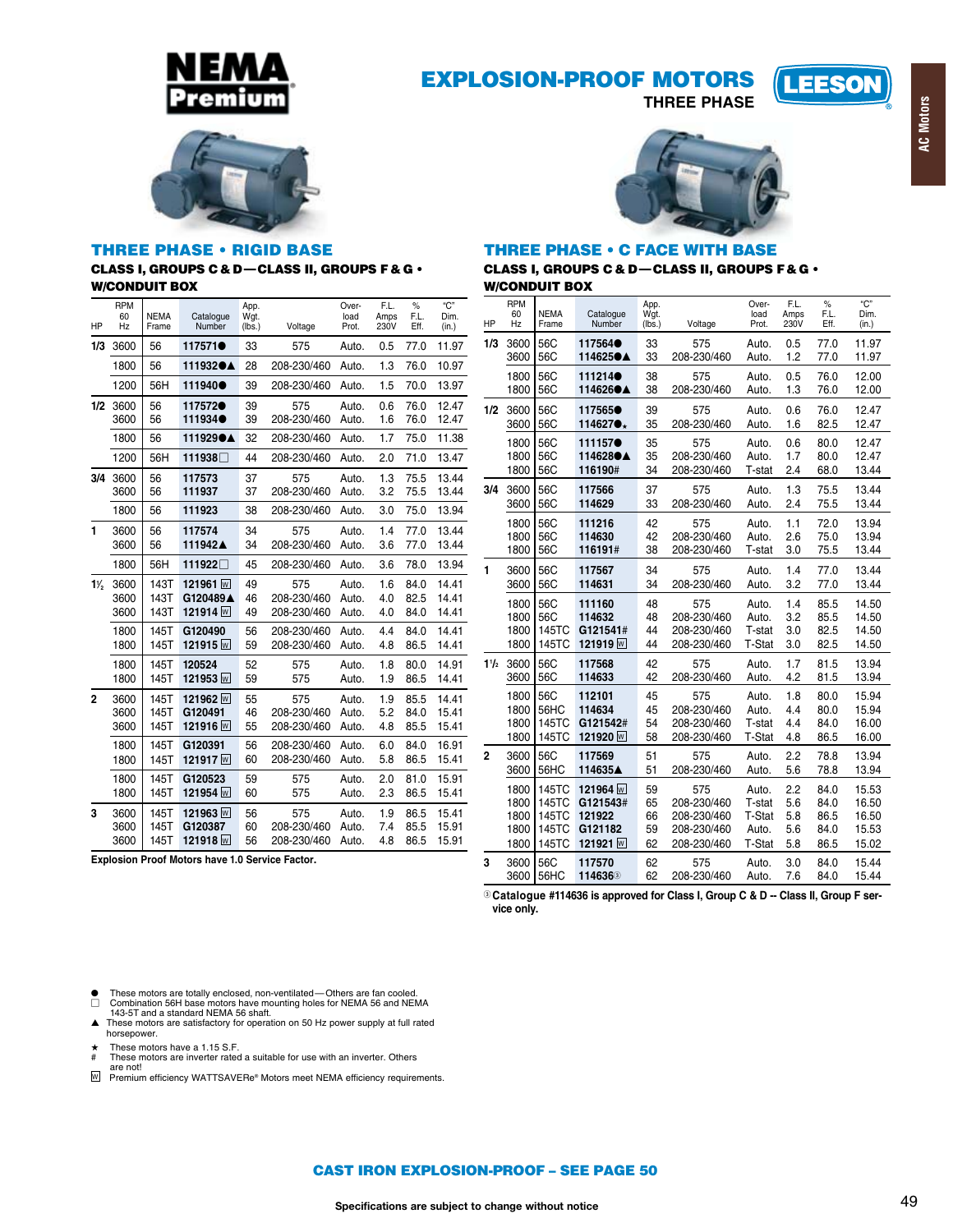

## **EXPLOSION-PROOF MOTORS**

**THREE PHASE** 





#### **THREE PHASE . RIGID BASE CLASS I, GROUPS C & D-CLASS II, GROUPS F & G . W/CONDUIT BOX**

| HP             | <b>RPM</b><br>60<br>Hz | NEMA<br>Frame | Catalogue<br>Number | App.<br>Wqt.<br>(lbs.) | Voltage     | Over-<br>load<br>Prot. | F.L.<br>Amps<br>230V | $\%$<br>F.L.<br>Eff. | "C"<br>Dim.<br>(in.) |
|----------------|------------------------|---------------|---------------------|------------------------|-------------|------------------------|----------------------|----------------------|----------------------|
| 1/3            | 3600                   | 56            | 117571 <sup>●</sup> | 33                     | 575         | Auto.                  | 0.5                  | 77.0                 | 11.97                |
|                | 1800                   | 56            | 111932●▲            | 28                     | 208-230/460 | Auto.                  | 1.3                  | 76.0                 | 10.97                |
|                | 1200                   | 56H           | 111940 <sup></sup>  | 39                     | 208-230/460 | Auto.                  | 1.5                  | 70.0                 | 13.97                |
| 1/2            | 3600                   | 56            | 117572 <sup>●</sup> | 39                     | 575         | Auto.                  | 0.6                  | 76.0                 | 12.47                |
|                | 3600                   | 56            | 111934              | 39                     | 208-230/460 | Auto.                  | 1.6                  | 76.0                 | 12.47                |
|                | 1800                   | 56            | 111929●▲            | 32                     | 208-230/460 | Auto.                  | 1.7                  | 75.0                 | 11.38                |
|                | 1200                   | 56H           | 111938□             | 44                     | 208-230/460 | Auto.                  | 2.0                  | 71.0                 | 13.47                |
| 3/4            | 3600                   | 56            | 117573              | 37                     | 575         | Auto.                  | 1.3                  | 75.5                 | 13.44                |
|                | 3600                   | 56            | 111937              | 37                     | 208-230/460 | Auto.                  | 3.2                  | 75.5                 | 13.44                |
|                | 1800                   | 56            | 111923              | 38                     | 208-230/460 | Auto.                  | 3.0                  | 75.0                 | 13.94                |
| 1              | 3600                   | 56            | 117574              | 34                     | 575         | Auto.                  | 1.4                  | 77.0                 | 13.44                |
|                | 3600                   | 56            | 111942▲             | 34                     | 208-230/460 | Auto.                  | 3.6                  | 77.0                 | 13.44                |
|                | 1800                   | 56H           | 111922□             | 45                     | 208-230/460 | Auto.                  | 3.6                  | 78.0                 | 13.94                |
| $1\frac{1}{2}$ | 3600                   | 143T          | 121961 W            | 49                     | 575         | Auto.                  | 1.6                  | 84.0                 | 14.41                |
|                | 3600                   | 143T          | G120489A            | 46                     | 208-230/460 | Auto.                  | 4.0                  | 82.5                 | 14.41                |
|                | 3600                   | 143T          | 121914 <sub>M</sub> | 49                     | 208-230/460 | Auto.                  | 4.0                  | 84.0                 | 14.41                |
|                | 1800                   | 145T          | G120490             | 56                     | 208-230/460 | Auto.                  | 4.4                  | 84.0                 | 14.41                |
|                | 1800                   | 145T          | 121915 <sub>M</sub> | 59                     | 208-230/460 | Auto.                  | 4.8                  | 86.5                 | 14.41                |
|                | 1800                   | 145T          | 120524              | 52                     | 575         | Auto.                  | 1.8                  | 80.0                 | 14.91                |
|                | 1800                   | 145T          | 121953 <sub>M</sub> | 59                     | 575         | Auto.                  | 1.9                  | 86.5                 | 14.41                |
| $\overline{2}$ | 3600                   | 145T          | 121962 <sub>M</sub> | 55                     | 575         | Auto.                  | 1.9                  | 85.5                 | 14.41                |
|                | 3600                   | 145T          | G120491             | 46                     | 208-230/460 | Auto.                  | 5.2                  | 84.0                 | 15.41                |
|                | 3600                   | 145T          | 121916 ₪            | 55                     | 208-230/460 | Auto.                  | 4.8                  | 85.5                 | 15.41                |
|                | 1800                   | 145T          | G120391             | 56                     | 208-230/460 | Auto.                  | 6.0                  | 84.0                 | 16.91                |
|                | 1800                   | 145T          | 121917 <sub>M</sub> | 60                     | 208-230/460 | Auto.                  | 5.8                  | 86.5                 | 15.41                |
|                | 1800                   | 145T          | G120523             | 59                     | 575         | Auto.                  | 2.0                  | 81.0                 | 15.91                |
|                | 1800                   | 145T          | 121954 <sub>M</sub> | 60                     | 575         | Auto.                  | 2.3                  | 86.5                 | 15.41                |
| 3              | 3600                   | 145T          | 121963 <sub>M</sub> | 56                     | 575         | Auto.                  | 1.9                  | 86.5                 | 15.41                |
|                | 3600                   | 145T          | G120387             | 60                     | 208-230/460 | Auto.                  | 7.4                  | 85.5                 | 15.91                |
|                | 3600                   | 145T          | 121918 <sub>W</sub> | 56                     | 208-230/460 | Auto.                  | 4.8                  | 86.5                 | 15.91                |

Explosion Proof Motors have 1.0 Service Factor.

**THREE PHASE • C FACE WITH BASE** CLASS I, GROUPS C & D-CLASS II, GROUPS F & G . **W/CONDUIT BOX** 

| HP   | <b>RPM</b><br>60<br>Hz | <b>NEMA</b><br>Frame | Catalogue<br>Number | App.<br>Wgt.<br>(lbs.) | Voltage     | Over-<br>load<br>Prot. | F.L.<br>Amps<br>230V | $\%$<br>F.L.<br>Eff. | "С"<br>Dim.<br>(in.) |
|------|------------------------|----------------------|---------------------|------------------------|-------------|------------------------|----------------------|----------------------|----------------------|
| 1/3  | 3600                   | 56C                  | 117564 <sup>.</sup> | 33                     | 575         | Auto.                  | 0.5                  | 77.0                 | 11.97                |
|      | 3600                   | 56C                  | 114625●▲            | 33                     | 208-230/460 | Auto.                  | 1.2                  | 77.0                 | 11.97                |
|      | 1800                   | 56C                  | 111214              | 38                     | 575         | Auto.                  | 0.5                  | 76.0                 | 12.00                |
|      | 1800                   | 56C                  | 114626●▲            | 38                     | 208-230/460 | Auto.                  | 1.3                  | 76.0                 | 12.00                |
| 1/2  | 3600                   | 56C                  | 117565●             | 39                     | 575         | Auto.                  | 0.6                  | 76.0                 | 12.47                |
|      | 3600                   | 56C                  | 114627●*            | 35                     | 208-230/460 | Auto.                  | 1.6                  | 82.5                 | 12.47                |
|      | 1800                   | 56C                  | 111157 <sup>®</sup> | 35                     | 575         | Auto.                  | 0.6                  | 80.0                 | 12.47                |
|      | 1800                   | 56C                  | 114628●▲            | 35                     | 208-230/460 | Auto.                  | 1.7                  | 80.0                 | 12.47                |
|      | 1800                   | 56C                  | 116190#             | 34                     | 208-230/460 | T-stat                 | 2.4                  | 68.0                 | 13.44                |
| 3/4  | 3600                   | 56C                  | 117566              | 37                     | 575         | Auto.                  | 1.3                  | 75.5                 | 13.44                |
|      | 3600                   | 56C                  | 114629              | 33                     | 208-230/460 | Auto.                  | 2.4                  | 75.5                 | 13.44                |
|      | 1800                   | 56C                  | 111216              | 42                     | 575         | Auto.                  | 1.1                  | 72.0                 | 13.94                |
|      | 1800                   | 56C                  | 114630              | 42                     | 208-230/460 | Auto.                  | 2.6                  | 75.0                 | 13.94                |
|      | 1800                   | 56C                  | 116191#             | 38                     | 208-230/460 | T-stat                 | 3.0                  | 75.5                 | 13.44                |
| 1    | 3600                   | 56C                  | 117567              | 34                     | 575         | Auto.                  | 1.4                  | 77.0                 | 13.44                |
|      | 3600                   | 56C                  | 114631              | 34                     | 208-230/460 | Auto.                  | 3.2                  | 77.0                 | 13.44                |
|      | 1800                   | 56C                  | 111160              | 48                     | 575         | Auto.                  | 1.4                  | 85.5                 | 14.50                |
|      | 1800                   | 56C                  | 114632              | 48                     | 208-230/460 | Auto.                  | 3.2                  | 85.5                 | 14.50                |
|      | 1800                   | 145TC                | G121541#            | 44                     | 208-230/460 | T-stat                 | 3.0                  | 82.5                 | 14.50                |
|      | 1800                   | 145TC                | 121919 <sub>M</sub> | 44                     | 208-230/460 | <b>T-Stat</b>          | 3.0                  | 82.5                 | 14.50                |
| 11/2 | 3600                   | 56C                  | 117568              | 42                     | 575         | Auto.                  | 1.7                  | 81.5                 | 13.94                |
|      | 3600                   | 56C                  | 114633              | 42                     | 208-230/460 | Auto.                  | 4.2                  | 81.5                 | 13.94                |
|      | 1800                   | 56C                  | 112101              | 45                     | 575         | Auto.                  | 1.8                  | 80.0                 | 15.94                |
|      | 1800                   | 56HC                 | 114634              | 45                     | 208-230/460 | Auto.                  | 4.4                  | 80.0                 | 15.94                |
|      | 1800                   | 145TC                | G121542#            | 54                     | 208-230/460 | T-stat                 | 4.4                  | 84.0                 | 16.00                |
|      | 1800                   | 145TC                | 121920              | 58                     | 208-230/460 | T-Stat                 | 4.8                  | 86.5                 | 16.00                |
| 2    | 3600                   | 56C                  | 117569              | 51                     | 575         | Auto.                  | 2.2                  | 78.8                 | 13.94                |
|      | 3600                   | 56HC                 | 114635▲             | 51                     | 208-230/460 | Auto.                  | 5.6                  | 78.8                 | 13.94                |
|      | 1800                   | 145TC                | 121964 <sub>M</sub> | 59                     | 575         | Auto.                  | 2.2                  | 84.0                 | 15.53                |
|      | 1800                   | 145TC                | G121543#            | 65                     | 208-230/460 | T-stat                 | 5.6                  | 84.0                 | 16.50                |
|      | 1800                   | 145TC                | 121922              | 66                     | 208-230/460 | <b>T-Stat</b>          | 5.8                  | 86.5                 | 16.50                |
|      | 1800                   | 145TC                | G121182             | 59                     | 208-230/460 | Auto.                  | 5.6                  | 84.0                 | 15.53                |
|      | 1800                   | 145TC                | 121921 M            | 62                     | 208-230/460 | <b>T-Stat</b>          | 5.8                  | 86.5                 | 15.02                |
| 3    | 3600                   | 56C                  | 117570              | 62                     | 575         | Auto.                  | 3.0                  | 84.0                 | 15.44                |
|      | 3600                   | 56HC                 | 114636 <sup>3</sup> | 62                     | 208-230/460 | Auto.                  | 7.6                  | 84.0                 | 15.44                |

<sup>3</sup> Cataloque #114636 is approved for Class I, Group C & D -- Class II, Group F service only.

- These motors are totally enclosed, non-ventilated—Others are fan cooled.<br>  $\Box$  Combination 56H base motors have mounting holes for NEMA 56 and NEMA<br>  $143-5T$  and a standard NEMA 56 shaft.<br>
These motors are satisfactory
- horsepower.
- These motors have a 1.15 S.F.<br>These motors are inverter rated a suitable for use with an inverter. Others  $*$
- are not!<br>
Remium efficiency WATTSAVERe® Motors meet NEMA efficiency requirements.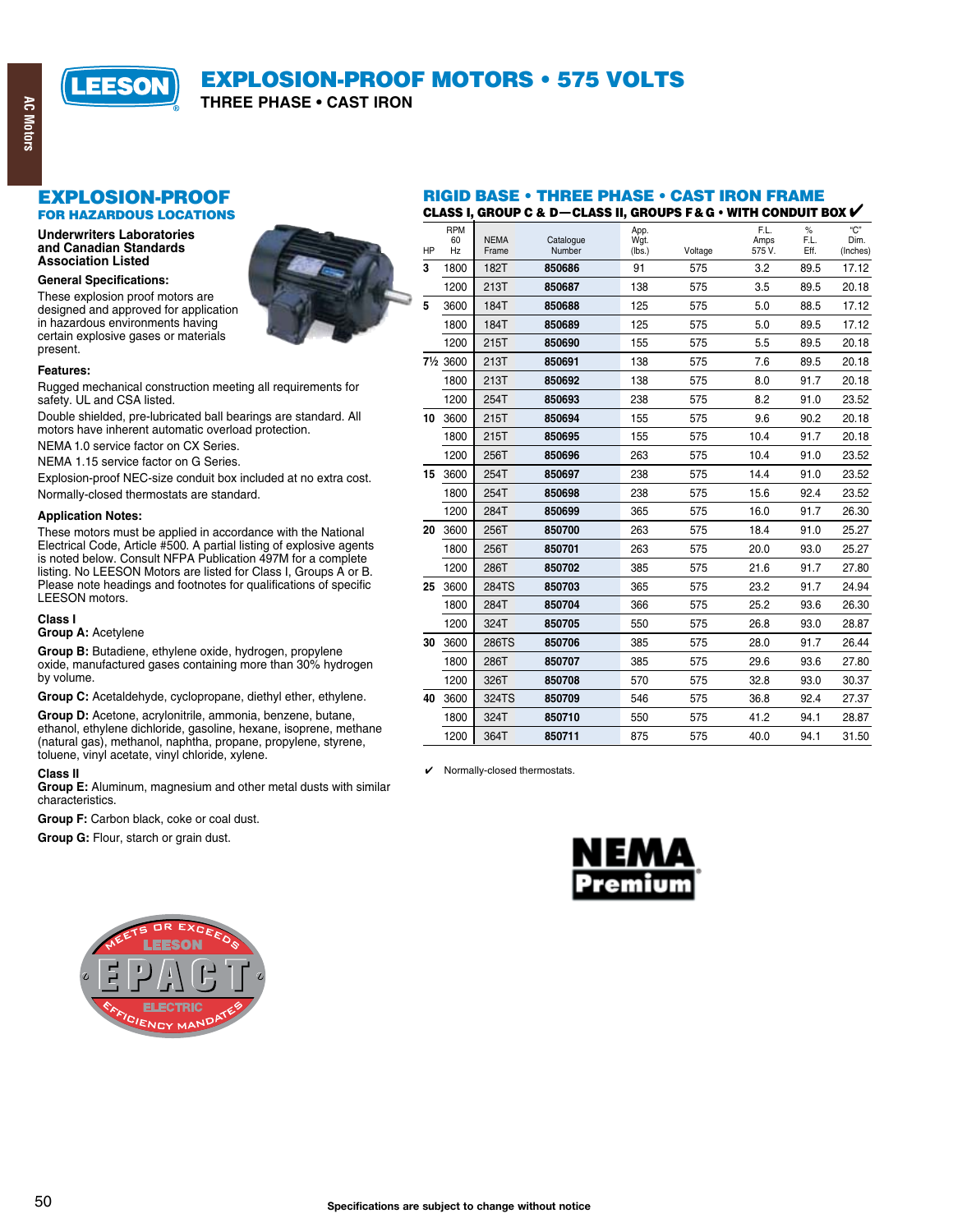

THREE PHASE . CAST IRON

## **EXPLOSION-PROOF**

**FOR HAZARDOUS LOCATIONS** 

#### **Underwriters Laboratories** and Canadian Standards **Association Listed**

#### **General Specifications:**

These explosion proof motors are designed and approved for application in hazardous environments having certain explosive gases or materials present.



#### Features:

Rugged mechanical construction meeting all requirements for safety. UL and CSA listed.

Double shielded, pre-lubricated ball bearings are standard. All motors have inherent automatic overload protection.

NEMA 1.0 service factor on CX Series.

NEMA 1.15 service factor on G Series.

Explosion-proof NEC-size conduit box included at no extra cost.

Normally-closed thermostats are standard.

#### **Application Notes:**

These motors must be applied in accordance with the National Electrical Code, Article #500. A partial listing of explosive agents is noted below. Consult NFPA Publication 497M for a complete listing. No LEESON Motors are listed for Class I, Groups A or B. Please note headings and footnotes for qualifications of specific LEESON motors.

#### Class I

#### Group A: Acetylene

Group B: Butadiene, ethylene oxide, hydrogen, propylene oxide, manufactured gases containing more than 30% hydrogen by volume.

Group C: Acetaldehyde, cyclopropane, diethyl ether, ethylene.

Group D: Acetone, acrylonitrile, ammonia, benzene, butane, ethanol, ethylene dichloride, gasoline, hexane, isoprene, methane (natural gas), methanol, naphtha, propane, propylene, styrene, toluene, vinyl acetate, vinyl chloride, xylene.

#### **Class II**

Group E: Aluminum, magnesium and other metal dusts with similar characteristics.

Group F: Carbon black, coke or coal dust.

Group G: Flour, starch or grain dust.

#### **RIGID BASE • THREE PHASE • CAST IRON FRAME** CLASS I, GROUP C & D-CLASS II, GROUPS F & G . WITH CONDUIT BOX V

| HP | <b>RPM</b><br>60<br>Hz | <b>NEMA</b><br>Frame | Catalogue<br>Number | App.<br>Wgt.<br>(lbs.) | Voltage | F.L.<br>Amps<br>575V. | $\%$<br>F.L.<br>Eff. | C <sup>n</sup><br>Dim.<br>(Inches) |
|----|------------------------|----------------------|---------------------|------------------------|---------|-----------------------|----------------------|------------------------------------|
| 3  | 1800                   | 182T                 | 850686              | 91                     | 575     | 3.2                   | 89.5                 | 17.12                              |
|    | 1200                   | 213T                 | 850687              | 138                    | 575     | 3.5                   | 89.5                 | 20.18                              |
| 5  | 3600                   | 184T                 | 850688              | 125                    | 575     | 5.0                   | 88.5                 | 17.12                              |
|    | 1800                   | 184T                 | 850689              | 125                    | 575     | 5.0                   | 89.5                 | 17.12                              |
|    | 1200                   | 215T                 | 850690              | 155                    | 575     | 5.5                   | 89.5                 | 20.18                              |
|    | 71/2 3600              | 213T                 | 850691              | 138                    | 575     | 7.6                   | 89.5                 | 20.18                              |
|    | 1800                   | 213T                 | 850692              | 138                    | 575     | 8.0                   | 91.7                 | 20.18                              |
|    | 1200                   | 254T                 | 850693              | 238                    | 575     | 8.2                   | 91.0                 | 23.52                              |
| 10 | 3600                   | 215T                 | 850694              | 155                    | 575     | 9.6                   | 90.2                 | 20.18                              |
|    | 1800                   | 215T                 | 850695              | 155                    | 575     | 10.4                  | 91.7                 | 20.18                              |
|    | 1200                   | 256T                 | 850696              | 263                    | 575     | 10.4                  | 91.0                 | 23.52                              |
| 15 | 3600                   | 254T                 | 850697              | 238                    | 575     | 14.4                  | 91.0                 | 23.52                              |
|    | 1800                   | 254T                 | 850698              | 238                    | 575     | 15.6                  | 92.4                 | 23.52                              |
|    | 1200                   | 284T                 | 850699              | 365                    | 575     | 16.0                  | 91.7                 | 26.30                              |
| 20 | 3600                   | 256T                 | 850700              | 263                    | 575     | 18.4                  | 91.0                 | 25.27                              |
|    | 1800                   | 256T                 | 850701              | 263                    | 575     | 20.0                  | 93.0                 | 25.27                              |
|    | 1200                   | 286T                 | 850702              | 385                    | 575     | 21.6                  | 91.7                 | 27.80                              |
| 25 | 3600                   | 284TS                | 850703              | 365                    | 575     | 23.2                  | 91.7                 | 24.94                              |
|    | 1800                   | 284T                 | 850704              | 366                    | 575     | 25.2                  | 93.6                 | 26.30                              |
|    | 1200                   | 324T                 | 850705              | 550                    | 575     | 26.8                  | 93.0                 | 28.87                              |
| 30 | 3600                   | 286TS                | 850706              | 385                    | 575     | 28.0                  | 91.7                 | 26.44                              |
|    | 1800                   | 286T                 | 850707              | 385                    | 575     | 29.6                  | 93.6                 | 27.80                              |
|    | 1200                   | 326T                 | 850708              | 570                    | 575     | 32.8                  | 93.0                 | 30.37                              |
| 40 | 3600                   | 324TS                | 850709              | 546                    | 575     | 36.8                  | 92.4                 | 27.37                              |
|    | 1800                   | 324T                 | 850710              | 550                    | 575     | 41.2                  | 94.1                 | 28.87                              |
|    | 1200                   | 364T                 | 850711              | 875                    | 575     | 40.0                  | 94.1                 | 31.50                              |

 $\checkmark$  Normally-closed thermostats.



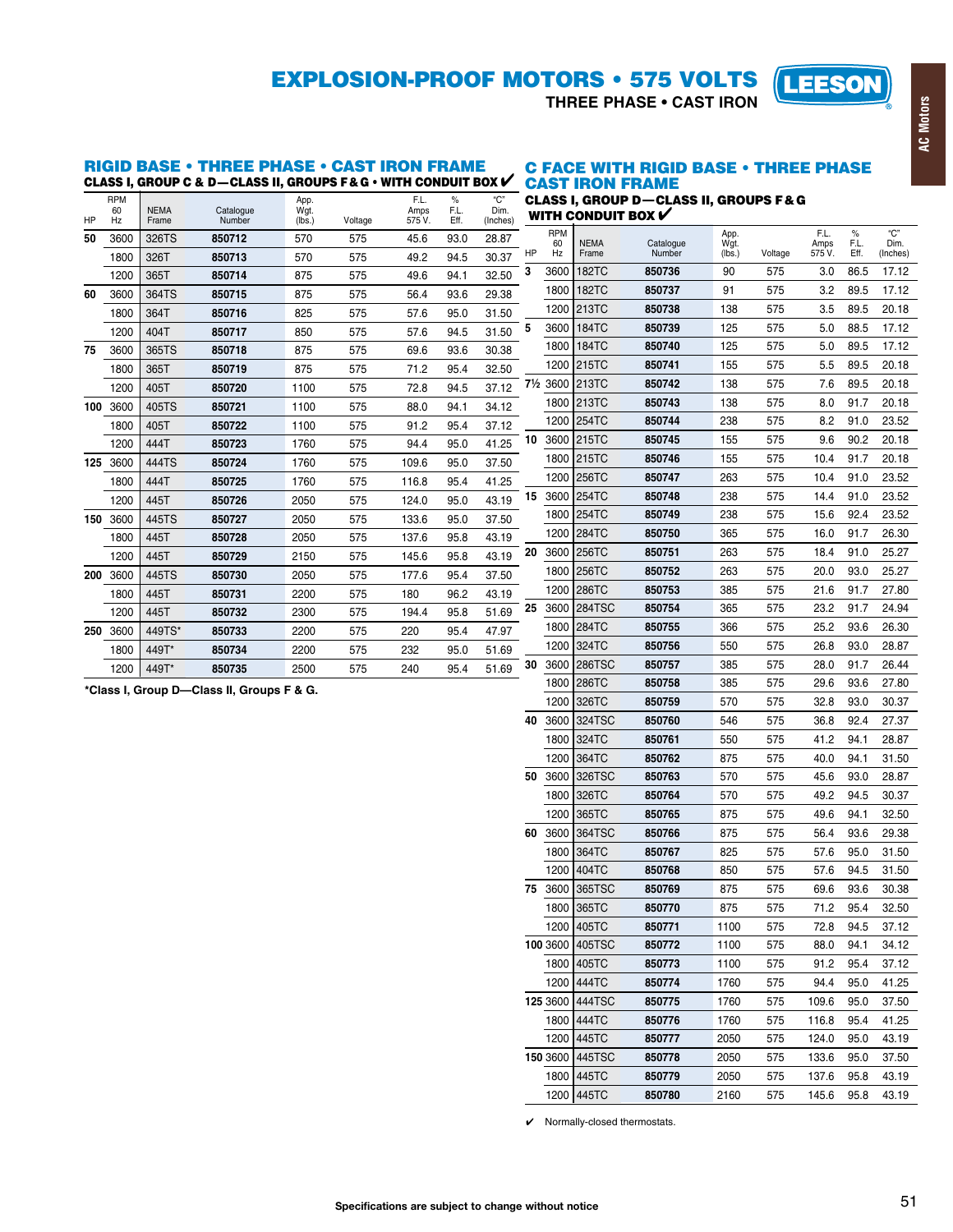## **EXPLOSION-PROOF MOTORS . 575 VOLTS**

THREE PHASE . CAST IRON



# RIGID BASE • THREE PHASE • CAST IRON FRAME C FACE WITH RIGID BASE • THREE PHASE CLASS I, GROUP C & D—CLASS II, GROUPS F& G • WITH CONDUIT BOX V CAST IRON FRAME

|     |                        |                      |                     |                        |         |                        |                      |                         |    |                        | .                    |                                                   |                        |         |                        |                      |                         |
|-----|------------------------|----------------------|---------------------|------------------------|---------|------------------------|----------------------|-------------------------|----|------------------------|----------------------|---------------------------------------------------|------------------------|---------|------------------------|----------------------|-------------------------|
| HP  | <b>RPM</b><br>60<br>Hz | <b>NEMA</b><br>Frame | Catalogue<br>Number | App.<br>Wgt.<br>(lbs.) | Voltage | F.L.<br>Amps<br>575 V. | $\%$<br>F.L.<br>Eff. | "C"<br>Dim.<br>(Inches) |    |                        | WITH CONDUIT BOX $V$ | <b>CLASS I. GROUP D-CLASS II. GROUPS F&amp; G</b> |                        |         |                        |                      |                         |
| 50  | 3600                   | 326TS                | 850712              | 570                    | 575     | 45.6                   | 93.0                 | 28.87                   | HP | <b>RPM</b><br>60<br>Hz | <b>NEMA</b><br>Frame | Catalogue<br>Number                               | App.<br>Wgt.<br>(lbs.) | Voltage | F.L.<br>Amps<br>575 V. | $\%$<br>F.L.<br>Eff. | "C"<br>Dim.<br>(Inches) |
|     | 1800                   | 326T                 | 850713              | 570                    | 575     | 49.2                   | 94.5                 | 30.37                   | 3  | 3600                   | <b>182TC</b>         | 850736                                            | 90                     | 575     | 3.0                    | 86.5                 | 17.12                   |
|     | 1200                   | 365T                 | 850714              | 875                    | 575     | 49.6                   | 94.1                 | 32.50                   |    | 1800                   | 182TC                | 850737                                            | 91                     | 575     | 3.2                    | 89.5                 | 17.12                   |
| 60  | 3600                   | 364TS                | 850715              | 875                    | 575     | 56.4                   | 93.6                 | 29.38                   |    |                        |                      |                                                   |                        |         |                        |                      |                         |
|     | 1800                   | 364T                 | 850716              | 825                    | 575     | 57.6                   | 95.0                 | 31.50                   |    |                        | 1200 213TC           | 850738                                            | 138                    | 575     | 3.5                    | 89.5                 | 20.18                   |
|     | 1200                   | 404T                 | 850717              | 850                    | 575     | 57.6                   | 94.5                 | 31.50                   | 5  | 3600                   | 184TC                | 850739                                            | 125                    | 575     | 5.0                    | 88.5                 | 17.12                   |
| 75  | 3600                   | 365TS                | 850718              | 875                    | 575     | 69.6                   | 93.6                 | 30.38                   |    |                        | 1800 184TC           | 850740                                            | 125                    | 575     | 5.0                    | 89.5                 | 17.12                   |
|     | 1800                   | 365T                 | 850719              | 875                    | 575     | 71.2                   | 95.4                 | 32.50                   |    | 1200                   | 215TC                | 850741                                            | 155                    | 575     | 5.5                    | 89.5                 | 20.18                   |
|     | 1200                   | 405T                 | 850720              | 1100                   | 575     | 72.8                   | 94.5                 | 37.12                   |    | 71/2 3600              | 213TC                | 850742                                            | 138                    | 575     | 7.6                    | 89.5                 | 20.18                   |
| 100 | 3600                   | 405TS                | 850721              | 1100                   | 575     | 88.0                   | 94.1                 | 34.12                   |    |                        | 1800 213TC           | 850743                                            | 138                    | 575     | 8.0                    | 91.7                 | 20.18                   |
|     | 1800                   | 405T                 | 850722              | 1100                   | 575     | 91.2                   | 95.4                 | 37.12                   |    | 1200                   | 254TC                | 850744                                            | 238                    | 575     | 8.2                    | 91.0                 | 23.52                   |
|     | 1200                   | 444T                 | 850723              | 1760                   | 575     | 94.4                   | 95.0                 | 41.25                   | 10 | 3600                   | 215TC                | 850745                                            | 155                    | 575     | 9.6                    | 90.2                 | 20.18                   |
| 125 | 3600                   | 444TS                | 850724              | 1760                   | 575     | 109.6                  | 95.0                 | 37.50                   |    | 1800                   | 215TC                | 850746                                            | 155                    | 575     | 10.4                   | 91.7                 | 20.18                   |
|     | 1800                   | 444T                 | 850725              | 1760                   | 575     | 116.8                  | 95.4                 | 41.25                   |    | 1200                   | 256TC                | 850747                                            | 263                    | 575     | 10.4                   | 91.0                 | 23.52                   |
|     | 1200                   | 445T                 | 850726              | 2050                   | 575     | 124.0                  | 95.0                 | 43.19                   | 15 | 3600                   | 254TC                | 850748                                            | 238                    | 575     | 14.4                   | 91.0                 | 23.52                   |
| 150 | 3600                   | 445TS                | 850727              | 2050                   | 575     | 133.6                  | 95.0                 | 37.50                   |    |                        | 1800 254TC           | 850749                                            | 238                    | 575     | 15.6                   | 92.4                 | 23.52                   |
|     | 1800                   | 445T                 | 850728              | 2050                   | 575     | 137.6                  | 95.8                 | 43.19                   |    |                        | 1200 284TC           | 850750                                            | 365                    | 575     | 16.0                   | 91.7                 | 26.30                   |
|     | 1200                   | 445T                 | 850729              | 2150                   | 575     | 145.6                  | 95.8                 | 43.19                   | 20 | 3600                   | 256TC                | 850751                                            | 263                    | 575     | 18.4                   | 91.0                 | 25.27                   |
| 200 | 3600                   | 445TS                | 850730              | 2050                   | 575     | 177.6                  | 95.4                 | 37.50                   |    | 1800                   | <b>256TC</b>         | 850752                                            | 263                    | 575     | 20.0                   | 93.0                 | 25.27                   |
|     | 1800                   | 445T                 | 850731              | 2200                   | 575     | 180                    | 96.2                 | 43.19                   |    | 1200                   | 286TC                | 850753                                            | 385                    | 575     | 21.6                   | 91.7                 | 27.80                   |
|     | 1200                   | 445T                 | 850732              | 2300                   | 575     | 194.4                  | 95.8                 | 51.69                   | 25 | 3600                   | 284TSC               | 850754                                            | 365                    | 575     | 23.2                   | 91.7                 | 24.94                   |
| 250 | 3600                   | 449TS*               | 850733              | 2200                   | 575     | 220                    | 95.4                 | 47.97                   |    |                        | 1800 284TC           | 850755                                            | 366                    | 575     | 25.2                   | 93.6                 | 26.30                   |
|     | 1800                   | 449T*                | 850734              | 2200                   | 575     | 232                    | 95.0                 | 51.69                   |    | 1200                   | 324TC                | 850756                                            | 550                    | 575     | 26.8                   | 93.0                 | 28.87                   |
|     | 1200                   | 449T*                | 850735              | 2500                   | 575     | 240                    | 95.4                 | 51.69                   | 30 | 3600                   | <b>286TSC</b>        | 850757                                            | 385                    | 575     | 28.0                   | 91.7                 | 26.44                   |
|     |                        |                      |                     |                        |         |                        |                      |                         |    |                        | $1800$ 286TC         | 850758                                            | 385                    | 575     | 29 R                   | 93 R                 | 27.80                   |

\*Class I, Group D-Class II, Groups F & G.

|    | 1800     | <b>256TC</b>  | 850752 | 263  | 575 | 20.0  | 93.0 | 25.27 |
|----|----------|---------------|--------|------|-----|-------|------|-------|
|    | 1200     | 286TC         | 850753 | 385  | 575 | 21.6  | 91.7 | 27.80 |
| 25 | 3600     | <b>284TSC</b> | 850754 | 365  | 575 | 23.2  | 91.7 | 24.94 |
|    | 1800     | 284TC         | 850755 | 366  | 575 | 25.2  | 93.6 | 26.30 |
|    | 1200     | 324TC         | 850756 | 550  | 575 | 26.8  | 93.0 | 28.87 |
| 30 | 3600     | <b>286TSC</b> | 850757 | 385  | 575 | 28.0  | 91.7 | 26.44 |
|    | 1800     | 286TC         | 850758 | 385  | 575 | 29.6  | 93.6 | 27.80 |
|    | 1200     | 326TC         | 850759 | 570  | 575 | 32.8  | 93.0 | 30.37 |
| 40 | 3600     | 324TSC        | 850760 | 546  | 575 | 36.8  | 92.4 | 27.37 |
|    | 1800     | 324TC         | 850761 | 550  | 575 | 41.2  | 94.1 | 28.87 |
|    | 1200     | 364TC         | 850762 | 875  | 575 | 40.0  | 94.1 | 31.50 |
| 50 | 3600     | 326TSC        | 850763 | 570  | 575 | 45.6  | 93.0 | 28.87 |
|    | 1800     | 326TC         | 850764 | 570  | 575 | 49.2  | 94.5 | 30.37 |
|    | 1200     | 365TC         | 850765 | 875  | 575 | 49.6  | 94.1 | 32.50 |
| 60 | 3600     | 364TSC        | 850766 | 875  | 575 | 56.4  | 93.6 | 29.38 |
|    | 1800     | 364TC         | 850767 | 825  | 575 | 57.6  | 95.0 | 31.50 |
|    | 1200     | 404TC         | 850768 | 850  | 575 | 57.6  | 94.5 | 31.50 |
| 75 | 3600     | 365TSC        | 850769 | 875  | 575 | 69.6  | 93.6 | 30.38 |
|    | 1800     | 365TC         | 850770 | 875  | 575 | 71.2  | 95.4 | 32.50 |
|    | 1200     | 405TC         | 850771 | 1100 | 575 | 72.8  | 94.5 | 37.12 |
|    | 100 3600 | 405TSC        | 850772 | 1100 | 575 | 88.0  | 94.1 | 34.12 |
|    | 1800     | 405TC         | 850773 | 1100 | 575 | 91.2  | 95.4 | 37.12 |
|    | 1200     | 444TC         | 850774 | 1760 | 575 | 94.4  | 95.0 | 41.25 |
|    | 125 3600 | 444TSC        | 850775 | 1760 | 575 | 109.6 | 95.0 | 37.50 |
|    | 1800     | 444TC         | 850776 | 1760 | 575 | 116.8 | 95.4 | 41.25 |
|    | 1200     | 445TC         | 850777 | 2050 | 575 | 124.0 | 95.0 | 43.19 |
|    | 150 3600 | 445TSC        | 850778 | 2050 | 575 | 133.6 | 95.0 | 37.50 |
|    | 1800     | 445TC         | 850779 | 2050 | 575 | 137.6 | 95.8 | 43.19 |
|    | 1200     | 445TC         | 850780 | 2160 | 575 | 145.6 | 95.8 | 43.19 |

 $\checkmark$  Normally-closed thermostats.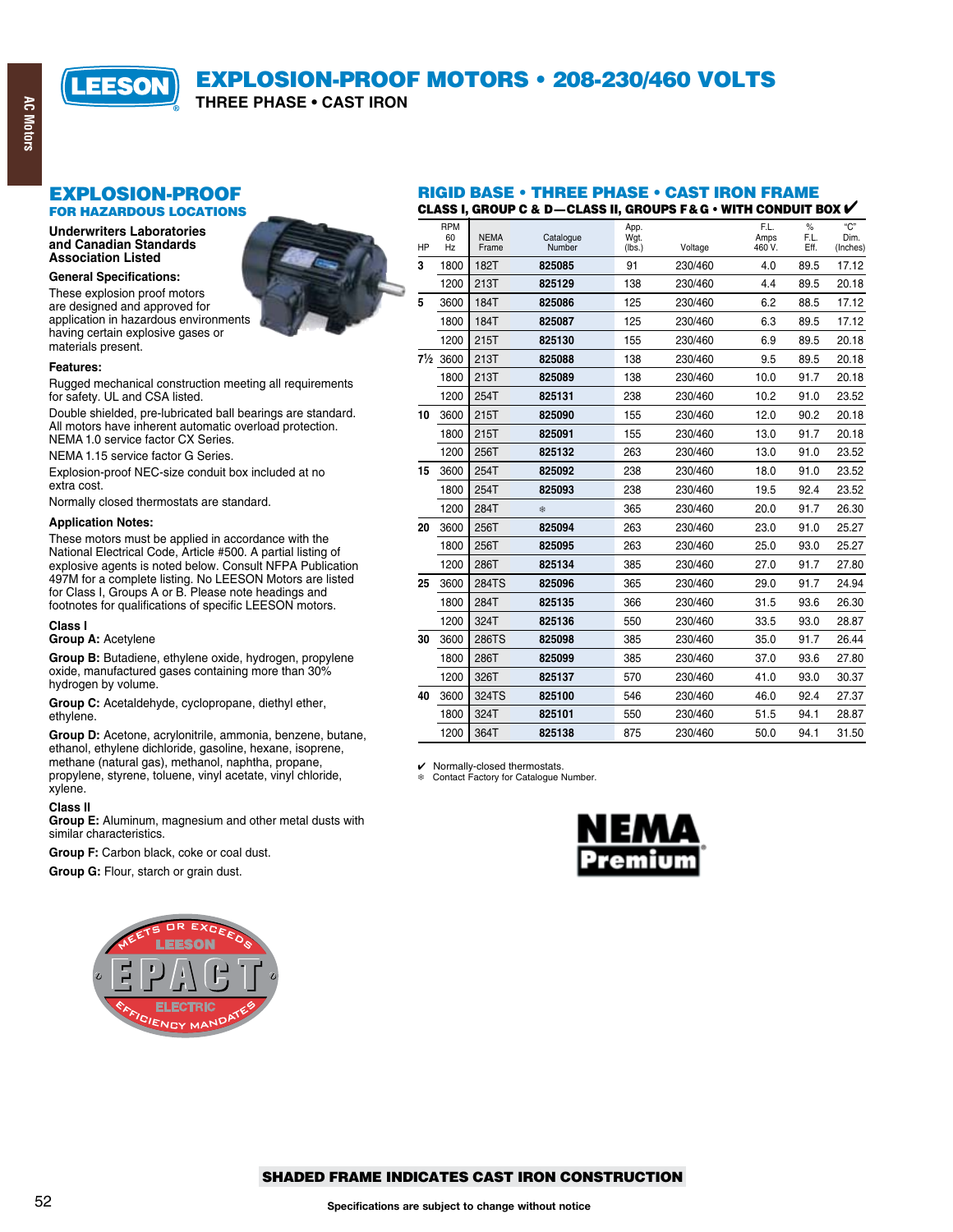

## **EXPLOSION-PROOF MOTORS . 208-230/460 VOLTS**

THREE PHASE . CAST IRON

## **EXPLOSION-PROOF**

**FOR HAZARDOUS LOCATIONS** 

**Underwriters Laboratories** and Canadian Standards **Association Listed** 

#### **General Specifications:**

These explosion proof motors are designed and approved for application in hazardous environments having certain explosive gases or materials present.



#### Features:

Rugged mechanical construction meeting all requirements for safety. UL and CSA listed.

Double shielded, pre-lubricated ball bearings are standard. All motors have inherent automatic overload protection. NEMA 1.0 service factor CX Series.

NEMA 1.15 service factor G Series.

Explosion-proof NEC-size conduit box included at no extra cost.

Normally closed thermostats are standard.

#### **Application Notes:**

These motors must be applied in accordance with the National Electrical Code, Article #500. A partial listing of explosive agents is noted below. Consult NFPA Publication 497M for a complete listing. No LEESON Motors are listed<br>for Class I, Groups A or B. Please note headings and footnotes for qualifications of specific LEESON motors.

#### Class I

#### Group A: Acetylene

Group B: Butadiene, ethylene oxide, hydrogen, propylene oxide, manufactured gases containing more than 30% hydrogen by volume.

Group C: Acetaldehyde, cyclopropane, diethyl ether, ethylene.

Group D: Acetone, acrylonitrile, ammonia, benzene, butane, ethanol, ethylene dichloride, gasoline, hexane, isoprene, methane (natural gas), methanol, naphtha, propane, propylene, styrene, toluene, vinyl acetate, vinyl chloride, xylene.

#### **Class II**

Group E: Aluminum, magnesium and other metal dusts with similar characteristics.

Group F: Carbon black, coke or coal dust.

Group G: Flour, starch or grain dust.



#### **RIGID BASE • THREE PHASE • CAST IRON FRAME** CLASS I, GROUP C & D-CLASS II, GROUPS F & G  $\cdot$  with conduit box  $V$

|    | <b>RPM</b> |                      |                     | App.           |         | F.L.           | $\%$         | "C"              |
|----|------------|----------------------|---------------------|----------------|---------|----------------|--------------|------------------|
| HP | 60<br>Hz   | <b>NEMA</b><br>Frame | Catalogue<br>Number | Wgt.<br>(lbs.) | Voltage | Amps<br>460 V. | F.L.<br>Eff. | Dim.<br>(Inches) |
| 3  | 1800       | 182T                 | 825085              | 91             | 230/460 | 4.0            | 89.5         | 17.12            |
|    | 1200       | 213T                 | 825129              | 138            | 230/460 | 4.4            | 89.5         | 20.18            |
| 5  | 3600       | 184T                 | 825086              | 125            | 230/460 | 6.2            | 88.5         | 17.12            |
|    | 1800       | 184T                 | 825087              | 125            | 230/460 | 6.3            | 89.5         | 17.12            |
|    | 1200       | 215T                 | 825130              | 155            | 230/460 | 6.9            | 89.5         | 20.18            |
|    | 71/2 3600  | 213T                 | 825088              | 138            | 230/460 | 9.5            | 89.5         | 20.18            |
|    | 1800       | 213T                 | 825089              | 138            | 230/460 | 10.0           | 91.7         | 20.18            |
|    | 1200       | 254T                 | 825131              | 238            | 230/460 | 10.2           | 91.0         | 23.52            |
| 10 | 3600       | 215T                 | 825090              | 155            | 230/460 | 12.0           | 90.2         | 20.18            |
|    | 1800       | 215T                 | 825091              | 155            | 230/460 | 13.0           | 91.7         | 20.18            |
|    | 1200       | 256T                 | 825132              | 263            | 230/460 | 13.0           | 91.0         | 23.52            |
| 15 | 3600       | 254T                 | 825092              | 238            | 230/460 | 18.0           | 91.0         | 23.52            |
|    | 1800       | 254T                 | 825093              | 238            | 230/460 | 19.5           | 92.4         | 23.52            |
|    | 1200       | 284T                 | 盎                   | 365            | 230/460 | 20.0           | 91.7         | 26.30            |
| 20 | 3600       | 256T                 | 825094              | 263            | 230/460 | 23.0           | 91.0         | 25.27            |
|    | 1800       | 256T                 | 825095              | 263            | 230/460 | 25.0           | 93.0         | 25.27            |
|    | 1200       | 286T                 | 825134              | 385            | 230/460 | 27.0           | 91.7         | 27.80            |
| 25 | 3600       | 284TS                | 825096              | 365            | 230/460 | 29.0           | 91.7         | 24.94            |
|    | 1800       | 284T                 | 825135              | 366            | 230/460 | 31.5           | 93.6         | 26.30            |
|    | 1200       | 324T                 | 825136              | 550            | 230/460 | 33.5           | 93.0         | 28.87            |
| 30 | 3600       | 286TS                | 825098              | 385            | 230/460 | 35.0           | 91.7         | 26.44            |
|    | 1800       | 286T                 | 825099              | 385            | 230/460 | 37.0           | 93.6         | 27.80            |
|    | 1200       | 326T                 | 825137              | 570            | 230/460 | 41.0           | 93.0         | 30.37            |
| 40 | 3600       | 324TS                | 825100              | 546            | 230/460 | 46.0           | 92.4         | 27.37            |
|    | 1800       | 324T                 | 825101              | 550            | 230/460 | 51.5           | 94.1         | 28.87            |
|    | 1200       | 364T                 | 825138              | 875            | 230/460 | 50.0           | 94.1         | 31.50            |

✔ Normally-closed thermostats.<br> **\*** Contact Factory for Catalogue Number.



#### **SHADED FRAME INDICATES CAST IRON CONSTRUCTION**